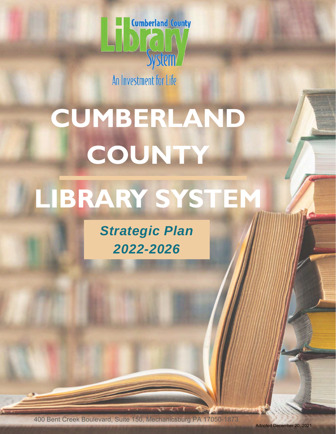

An Investment for Life

# **CUMBERLAND COUNTY LIBRARY SYSTEM**

*Strategic Plan 2022-2026* 

400 Bent Creek Boulevard, Suite 150, Mechanicsburg PA 17050-1873

Adopted December 20, 2021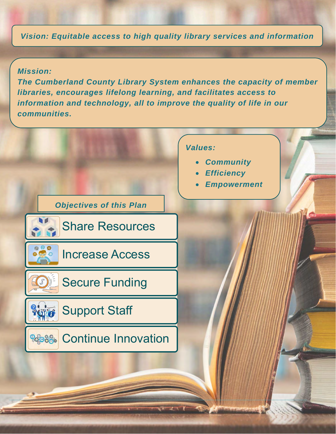*Vision: Equitable access to high quality library services and information* 

#### *Mission:*

*The Cumberland County Library System enhances the capacity of member libraries, encourages lifelong learning, and facilitates access to information and technology, all to improve the quality of life in our communities.* 

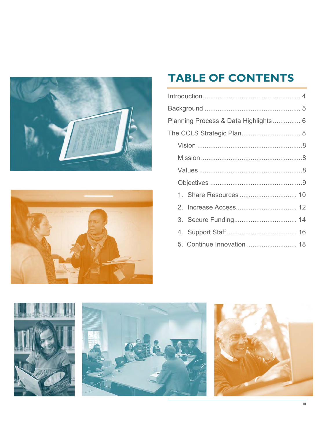



# **TABLE OF CONTENTS**

| Planning Process & Data Highlights 6 |  |  |
|--------------------------------------|--|--|
|                                      |  |  |
|                                      |  |  |
|                                      |  |  |
|                                      |  |  |
|                                      |  |  |
|                                      |  |  |
|                                      |  |  |
|                                      |  |  |
|                                      |  |  |
|                                      |  |  |

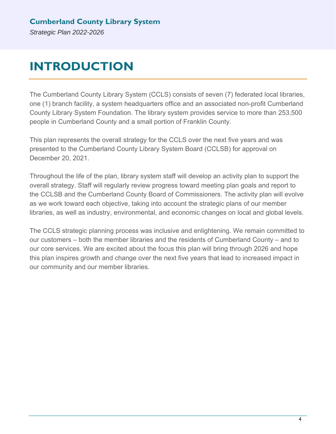# **INTRODUCTION**

The Cumberland County Library System (CCLS) consists of seven (7) federated local libraries, one (1) branch facility, a system headquarters office and an associated non-profit Cumberland County Library System Foundation. The library system provides service to more than 253,500 people in Cumberland County and a small portion of Franklin County.

This plan represents the overall strategy for the CCLS over the next five years and was presented to the Cumberland County Library System Board (CCLSB) for approval on December 20, 2021.

Throughout the life of the plan, library system staff will develop an activity plan to support the overall strategy. Staff will regularly review progress toward meeting plan goals and report to the CCLSB and the Cumberland County Board of Commissioners. The activity plan will evolve as we work toward each objective, taking into account the strategic plans of our member libraries, as well as industry, environmental, and economic changes on local and global levels.

The CCLS strategic planning process was inclusive and enlightening. We remain committed to our customers – both the member libraries and the residents of Cumberland County – and to our core services. We are excited about the focus this plan will bring through 2026 and hope this plan inspires growth and change over the next five years that lead to increased impact in our community and our member libraries.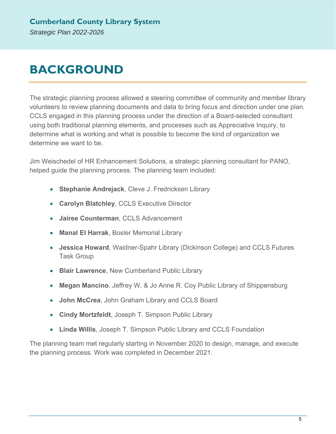# **BACKGROUND**

The strategic planning process allowed a steering committee of community and member library volunteers to review planning documents and data to bring focus and direction under one plan. CCLS engaged in this planning process under the direction of a Board-selected consultant using both traditional planning elements, and processes such as Appreciative Inquiry, to determine what is working and what is possible to become the kind of organization we determine we want to be.

Jim Weischedel of HR Enhancement Solutions, a strategic planning consultant for PANO, helped guide the planning process. The planning team included:

- **Stephanie Andrejack**, Cleve J. Fredricksen Library
- **Carolyn Blatchley**, CCLS Executive Director
- **Jairee Counterman**, CCLS Advancement
- **Manal El Harrak**, Bosler Memorial Library
- **Jessica Howard**, Waidner-Spahr Library (Dickinson College) and CCLS Futures Task Group
- **Blair Lawrence**, New Cumberland Public Library
- **Megan Mancino**, Jeffrey W. & Jo Anne R. Coy Public Library of Shippensburg
- **John McCrea**, John Graham Library and CCLS Board
- **Cindy Mortzfeldt**, Joseph T. Simpson Public Library
- **Linda Willis**, Joseph T. Simpson Public Library and CCLS Foundation

The planning team met regularly starting in November 2020 to design, manage, and execute the planning process. Work was completed in December 2021.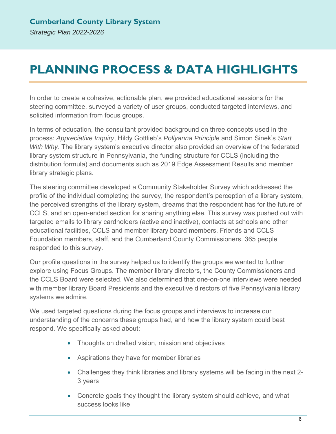## **PLANNING PROCESS & DATA HIGHLIGHTS**

In order to create a cohesive, actionable plan, we provided educational sessions for the steering committee, surveyed a variety of user groups, conducted targeted interviews, and solicited information from focus groups.

In terms of education, the consultant provided background on three concepts used in the process: *Appreciative Inquiry*, Hildy Gottlieb's *Pollyanna Principle* and Simon Sinek's *Start With Why*. The library system's executive director also provided an overview of the federated library system structure in Pennsylvania, the funding structure for CCLS (including the distribution formula) and documents such as 2019 Edge Assessment Results and member library strategic plans.

The steering committee developed a Community Stakeholder Survey which addressed the profile of the individual completing the survey, the respondent's perception of a library system, the perceived strengths of the library system, dreams that the respondent has for the future of CCLS, and an open-ended section for sharing anything else. This survey was pushed out with targeted emails to library cardholders (active and inactive), contacts at schools and other educational facilities, CCLS and member library board members, Friends and CCLS Foundation members, staff, and the Cumberland County Commissioners. 365 people responded to this survey.

Our profile questions in the survey helped us to identify the groups we wanted to further explore using Focus Groups. The member library directors, the County Commissioners and the CCLS Board were selected. We also determined that one-on-one interviews were needed with member library Board Presidents and the executive directors of five Pennsylvania library systems we admire.

We used targeted questions during the focus groups and interviews to increase our understanding of the concerns these groups had, and how the library system could best respond. We specifically asked about:

- Thoughts on drafted vision, mission and objectives
- Aspirations they have for member libraries
- Challenges they think libraries and library systems will be facing in the next 2- 3 years
- Concrete goals they thought the library system should achieve, and what success looks like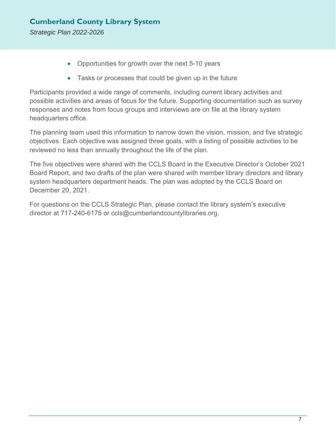- Opportunities for growth over the next 5-10 years
- Tasks or processes that could be given up in the future

Participants provided a wide range of comments, including current library activities and possible activities and areas of focus for the future. Supporting documentation such as survey responses and notes from focus groups and interviews are on file at the library system headquarters office.

The planning team used this information to narrow down the vision, mission, and five strategic objectives. Each objective was assigned three goals, with a listing of possible activities to be reviewed no less than annually throughout the life of the plan.

The five objectives were shared with the CCLS Board in the Executive Director's October 2021 Board Report, and two drafts of the plan were shared with member library directors and library system headquarters department heads. The plan was adopted by the CCLS Board on December 20, 2021.

For questions on the CCLS Strategic Plan, please contact the library system's executive director at 717-240-6175 or ccls@cumberlandcountylibraries.org.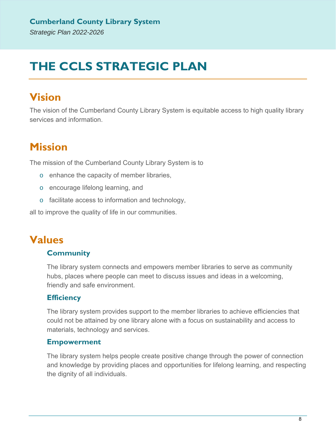# **THE CCLS STRATEGIC PLAN**

## **Vision**

The vision of the Cumberland County Library System is equitable access to high quality library services and information.

## **Mission**

The mission of the Cumberland County Library System is to

- o enhance the capacity of member libraries,
- o encourage lifelong learning, and
- o facilitate access to information and technology,

all to improve the quality of life in our communities.

### **Values**

#### **Community**

The library system connects and empowers member libraries to serve as community hubs, places where people can meet to discuss issues and ideas in a welcoming, friendly and safe environment.

#### **Efficiency**

The library system provides support to the member libraries to achieve efficiencies that could not be attained by one library alone with a focus on sustainability and access to materials, technology and services.

#### **Empowerment**

The library system helps people create positive change through the power of connection and knowledge by providing places and opportunities for lifelong learning, and respecting the dignity of all individuals.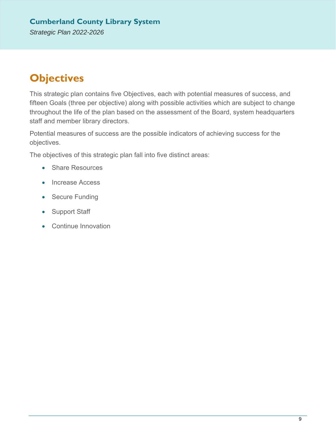#### **Cumberland County Library System**  *Strategic Plan 2022-2026*

## **Objectives**

This strategic plan contains five Objectives, each with potential measures of success, and fifteen Goals (three per objective) along with possible activities which are subject to change throughout the life of the plan based on the assessment of the Board, system headquarters staff and member library directors.

Potential measures of success are the possible indicators of achieving success for the objectives.

The objectives of this strategic plan fall into five distinct areas:

- Share Resources
- Increase Access
- Secure Funding
- Support Staff
- Continue Innovation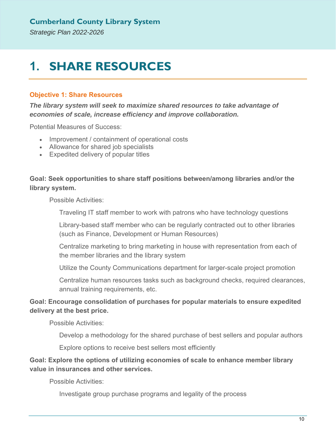## **1. SHARE RESOURCES**

#### **Objective 1: Share Resources**

*The library system will seek to maximize shared resources to take advantage of economies of scale, increase efficiency and improve collaboration.* 

Potential Measures of Success:

- Improvement / containment of operational costs
- Allowance for shared job specialists
- Expedited delivery of popular titles

**Goal: Seek opportunities to share staff positions between/among libraries and/or the library system.**

Possible Activities:

Traveling IT staff member to work with patrons who have technology questions

Library-based staff member who can be regularly contracted out to other libraries (such as Finance, Development or Human Resources)

Centralize marketing to bring marketing in house with representation from each of the member libraries and the library system

Utilize the County Communications department for larger-scale project promotion

Centralize human resources tasks such as background checks, required clearances, annual training requirements, etc.

#### **Goal: Encourage consolidation of purchases for popular materials to ensure expedited delivery at the best price.**

Possible Activities:

Develop a methodology for the shared purchase of best sellers and popular authors

Explore options to receive best sellers most efficiently

#### **Goal: Explore the options of utilizing economies of scale to enhance member library value in insurances and other services.**

Possible Activities:

Investigate group purchase programs and legality of the process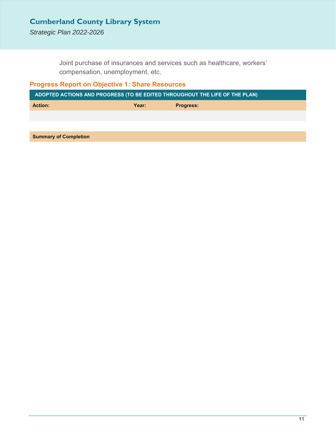*Strategic Plan 2022-2026*

Joint purchase of insurances and services such as healthcare, workers' compensation, unemployment, etc.

#### **Progress Report on Objective 1: Share Resources**

| ADOPTED ACTIONS AND PROGRESS (TO BE EDITED THROUGHOUT THE LIFE OF THE PLAN) |       |                  |
|-----------------------------------------------------------------------------|-------|------------------|
| <b>Action:</b>                                                              | Year: | <b>Progress:</b> |
|                                                                             |       |                  |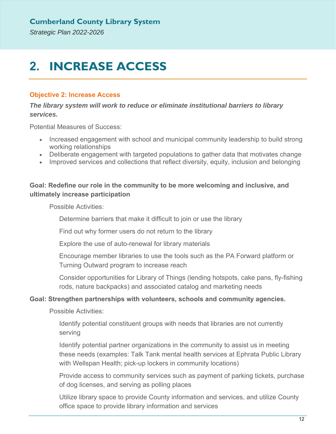# **2. INCREASE ACCESS**

#### **Objective 2: Increase Access**

*The library system will work to reduce or eliminate institutional barriers to library services.* 

Potential Measures of Success:

- Increased engagement with school and municipal community leadership to build strong working relationships
- Deliberate engagement with targeted populations to gather data that motivates change
- Improved services and collections that reflect diversity, equity, inclusion and belonging

#### **Goal: Redefine our role in the community to be more welcoming and inclusive, and ultimately increase participation**

Possible Activities:

Determine barriers that make it difficult to join or use the library

Find out why former users do not return to the library

Explore the use of auto-renewal for library materials

Encourage member libraries to use the tools such as the PA Forward platform or Turning Outward program to increase reach

Consider opportunities for Library of Things (lending hotspots, cake pans, fly-fishing rods, nature backpacks) and associated catalog and marketing needs

#### **Goal: Strengthen partnerships with volunteers, schools and community agencies.**

Possible Activities:

Identify potential constituent groups with needs that libraries are not currently serving

Identify potential partner organizations in the community to assist us in meeting these needs (examples: Talk Tank mental health services at Ephrata Public Library with Wellspan Health; pick-up lockers in community locations)

Provide access to community services such as payment of parking tickets, purchase of dog licenses, and serving as polling places

Utilize library space to provide County information and services, and utilize County office space to provide library information and services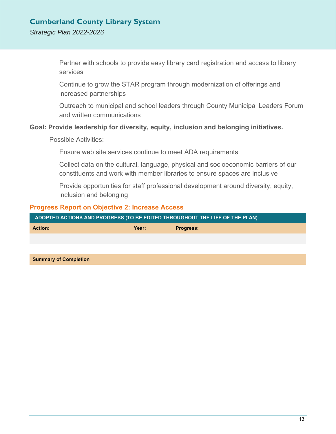#### *Strategic Plan 2022-2026*

Partner with schools to provide easy library card registration and access to library services

Continue to grow the STAR program through modernization of offerings and increased partnerships

Outreach to municipal and school leaders through County Municipal Leaders Forum and written communications

#### **Goal: Provide leadership for diversity, equity, inclusion and belonging initiatives.**

Possible Activities:

Ensure web site services continue to meet ADA requirements

Collect data on the cultural, language, physical and socioeconomic barriers of our constituents and work with member libraries to ensure spaces are inclusive

Provide opportunities for staff professional development around diversity, equity, inclusion and belonging

#### **Progress Report on Objective 2: Increase Access**

| ADOPTED ACTIONS AND PROGRESS (TO BE EDITED THROUGHOUT THE LIFE OF THE PLAN) |       |                  |  |
|-----------------------------------------------------------------------------|-------|------------------|--|
| <b>Action:</b>                                                              | Year: | <b>Progress:</b> |  |
|                                                                             |       |                  |  |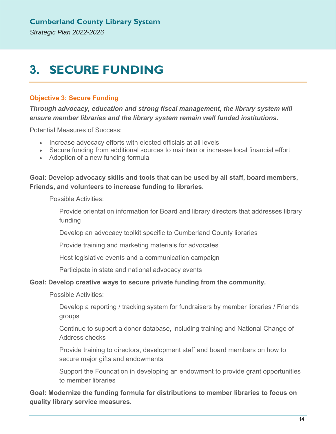# **3. SECURE FUNDING**

#### **Objective 3: Secure Funding**

*Through advocacy, education and strong fiscal management, the library system will ensure member libraries and the library system remain well funded institutions.* 

Potential Measures of Success:

- Increase advocacy efforts with elected officials at all levels
- Secure funding from additional sources to maintain or increase local financial effort
- Adoption of a new funding formula

#### **Goal: Develop advocacy skills and tools that can be used by all staff, board members, Friends, and volunteers to increase funding to libraries.**

Possible Activities:

Provide orientation information for Board and library directors that addresses library funding

Develop an advocacy toolkit specific to Cumberland County libraries

Provide training and marketing materials for advocates

Host legislative events and a communication campaign

Participate in state and national advocacy events

#### **Goal: Develop creative ways to secure private funding from the community.**

Possible Activities:

Develop a reporting / tracking system for fundraisers by member libraries / Friends groups

Continue to support a donor database, including training and National Change of Address checks

Provide training to directors, development staff and board members on how to secure major gifts and endowments

Support the Foundation in developing an endowment to provide grant opportunities to member libraries

**Goal: Modernize the funding formula for distributions to member libraries to focus on quality library service measures.**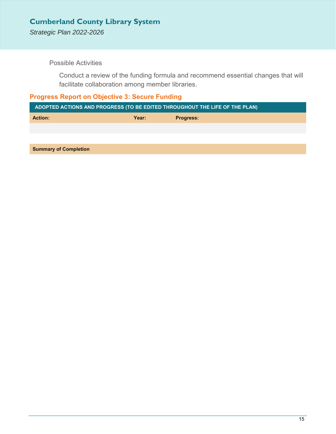*Strategic Plan 2022-2026*

Possible Activities

Conduct a review of the funding formula and recommend essential changes that will facilitate collaboration among member libraries.

#### **Progress Report on Objective 3: Secure Funding**

| ADOPTED ACTIONS AND PROGRESS (TO BE EDITED THROUGHOUT THE LIFE OF THE PLAN) |       |                  |  |
|-----------------------------------------------------------------------------|-------|------------------|--|
| <b>Action:</b>                                                              | Year: | <b>Progress:</b> |  |
|                                                                             |       |                  |  |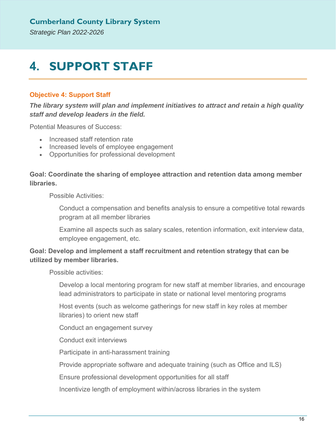## **4. SUPPORT STAFF**

#### **Objective 4: Support Staff**

*The library system will plan and implement initiatives to attract and retain a high quality staff and develop leaders in the field.* 

Potential Measures of Success:

- Increased staff retention rate
- Increased levels of employee engagement
- Opportunities for professional development

#### **Goal: Coordinate the sharing of employee attraction and retention data among member libraries.**

Possible Activities:

Conduct a compensation and benefits analysis to ensure a competitive total rewards program at all member libraries

Examine all aspects such as salary scales, retention information, exit interview data, employee engagement, etc.

#### **Goal: Develop and implement a staff recruitment and retention strategy that can be utilized by member libraries.**

Possible activities:

Develop a local mentoring program for new staff at member libraries, and encourage lead administrators to participate in state or national level mentoring programs

Host events (such as welcome gatherings for new staff in key roles at member libraries) to orient new staff

Conduct an engagement survey

Conduct exit interviews

Participate in anti-harassment training

Provide appropriate software and adequate training (such as Office and ILS)

Ensure professional development opportunities for all staff

Incentivize length of employment within/across libraries in the system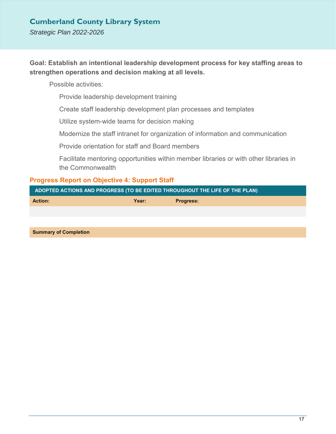*Strategic Plan 2022-2026*

#### **Goal: Establish an intentional leadership development process for key staffing areas to strengthen operations and decision making at all levels.**

Possible activities:

Provide leadership development training

Create staff leadership development plan processes and templates

Utilize system-wide teams for decision making

Modernize the staff intranet for organization of information and communication

Provide orientation for staff and Board members

Facilitate mentoring opportunities within member libraries or with other libraries in the Commonwealth

#### **Progress Report on Objective 4: Support Staff**

| ADOPTED ACTIONS AND PROGRESS (TO BE EDITED THROUGHOUT THE LIFE OF THE PLAN) |       |                  |  |
|-----------------------------------------------------------------------------|-------|------------------|--|
| <b>Action:</b>                                                              | Year: | <b>Progress:</b> |  |
|                                                                             |       |                  |  |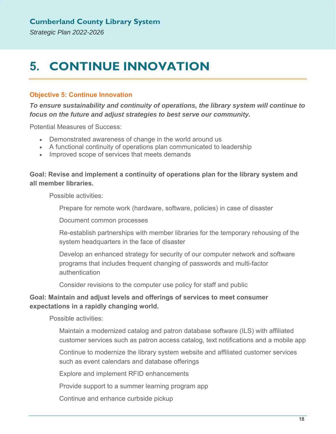# **5. CONTINUE INNOVATION**

#### **Objective 5: Continue Innovation**

*To ensure sustainability and continuity of operations, the library system will continue to focus on the future and adjust strategies to best serve our community.* 

Potential Measures of Success:

- Demonstrated awareness of change in the world around us
- A functional continuity of operations plan communicated to leadership
- Improved scope of services that meets demands

#### **Goal: Revise and implement a continuity of operations plan for the library system and all member libraries.**

Possible activities:

Prepare for remote work (hardware, software, policies) in case of disaster

Document common processes

Re-establish partnerships with member libraries for the temporary rehousing of the system headquarters in the face of disaster

Develop an enhanced strategy for security of our computer network and software programs that includes frequent changing of passwords and multi-factor authentication

Consider revisions to the computer use policy for staff and public

#### **Goal: Maintain and adjust levels and offerings of services to meet consumer expectations in a rapidly changing world.**

Possible activities:

Maintain a modernized catalog and patron database software (ILS) with affiliated customer services such as patron access catalog, text notifications and a mobile app

Continue to modernize the library system website and affiliated customer services such as event calendars and database offerings

Explore and implement RFID enhancements

Provide support to a summer learning program app

Continue and enhance curbside pickup